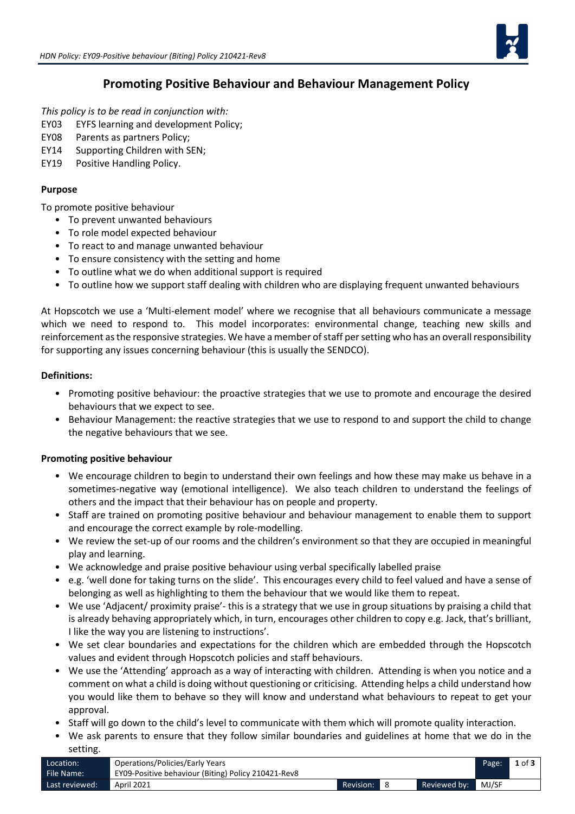

# **Promoting Positive Behaviour and Behaviour Management Policy**

*This policy is to be read in conjunction with:* 

- EY03 EYFS learning and development Policy;
- EY08 Parents as partners Policy;
- EY14 Supporting Children with SEN;
- EY19 Positive Handling Policy.

#### **Purpose**

To promote positive behaviour

- To prevent unwanted behaviours
- To role model expected behaviour
- To react to and manage unwanted behaviour
- To ensure consistency with the setting and home
- To outline what we do when additional support is required
- To outline how we support staff dealing with children who are displaying frequent unwanted behaviours

At Hopscotch we use a 'Multi-element model' where we recognise that all behaviours communicate a message which we need to respond to. This model incorporates: environmental change, teaching new skills and reinforcement as the responsive strategies. We have a member of staff per setting who has an overall responsibility for supporting any issues concerning behaviour (this is usually the SENDCO).

#### **Definitions:**

- Promoting positive behaviour: the proactive strategies that we use to promote and encourage the desired behaviours that we expect to see.
- Behaviour Management: the reactive strategies that we use to respond to and support the child to change the negative behaviours that we see.

#### **Promoting positive behaviour**

- We encourage children to begin to understand their own feelings and how these may make us behave in a sometimes-negative way (emotional intelligence). We also teach children to understand the feelings of others and the impact that their behaviour has on people and property.
- Staff are trained on promoting positive behaviour and behaviour management to enable them to support and encourage the correct example by role-modelling.
- We review the set-up of our rooms and the children's environment so that they are occupied in meaningful play and learning.
- We acknowledge and praise positive behaviour using verbal specifically labelled praise
- e.g. 'well done for taking turns on the slide'. This encourages every child to feel valued and have a sense of belonging as well as highlighting to them the behaviour that we would like them to repeat.
- We use 'Adjacent/ proximity praise'- this is a strategy that we use in group situations by praising a child that is already behaving appropriately which, in turn, encourages other children to copy e.g. Jack, that's brilliant, I like the way you are listening to instructions'.
- We set clear boundaries and expectations for the children which are embedded through the Hopscotch values and evident through Hopscotch policies and staff behaviours.
- We use the 'Attending' approach as a way of interacting with children. Attending is when you notice and a comment on what a child is doing without questioning or criticising. Attending helps a child understand how you would like them to behave so they will know and understand what behaviours to repeat to get your approval.
- Staff will go down to the child's level to communicate with them which will promote quality interaction.
- We ask parents to ensure that they follow similar boundaries and guidelines at home that we do in the setting.

| Location:      | Operations/Policies/Early Years                     |           |              | Page: | $1$ of $3$ |
|----------------|-----------------------------------------------------|-----------|--------------|-------|------------|
| File Name:     | EY09-Positive behaviour (Biting) Policy 210421-Rev8 |           |              |       |            |
| Last reviewed: | April 2021                                          | Revision: | Reviewed by: | MJ/SF |            |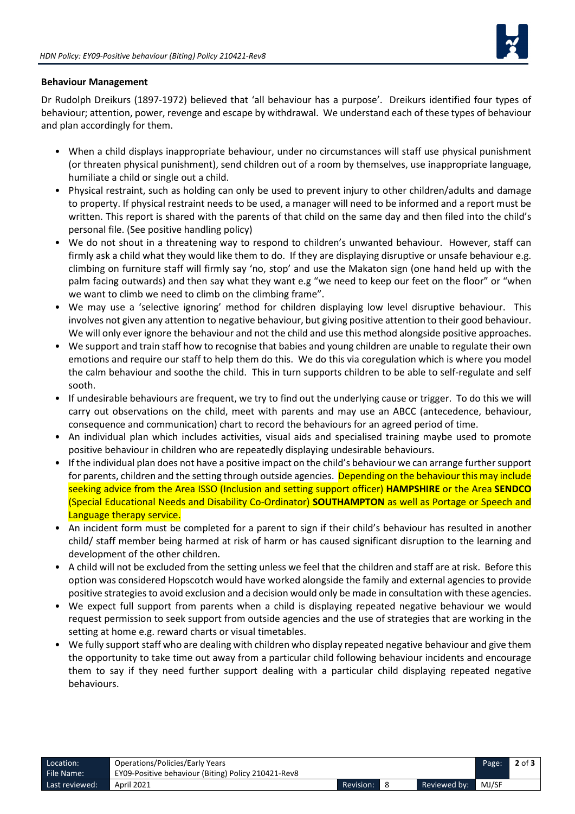

### **Behaviour Management**

Dr Rudolph Dreikurs (1897-1972) believed that 'all behaviour has a purpose'. Dreikurs identified four types of behaviour; attention, power, revenge and escape by withdrawal. We understand each of these types of behaviour and plan accordingly for them.

- When a child displays inappropriate behaviour, under no circumstances will staff use physical punishment (or threaten physical punishment), send children out of a room by themselves, use inappropriate language, humiliate a child or single out a child.
- Physical restraint, such as holding can only be used to prevent injury to other children/adults and damage to property. If physical restraint needs to be used, a manager will need to be informed and a report must be written. This report is shared with the parents of that child on the same day and then filed into the child's personal file. (See positive handling policy)
- We do not shout in a threatening way to respond to children's unwanted behaviour. However, staff can firmly ask a child what they would like them to do. If they are displaying disruptive or unsafe behaviour e.g. climbing on furniture staff will firmly say 'no, stop' and use the Makaton sign (one hand held up with the palm facing outwards) and then say what they want e.g "we need to keep our feet on the floor" or "when we want to climb we need to climb on the climbing frame".
- We may use a 'selective ignoring' method for children displaying low level disruptive behaviour. This involves not given any attention to negative behaviour, but giving positive attention to their good behaviour. We will only ever ignore the behaviour and not the child and use this method alongside positive approaches.
- We support and train staff how to recognise that babies and young children are unable to regulate their own emotions and require our staff to help them do this. We do this via coregulation which is where you model the calm behaviour and soothe the child. This in turn supports children to be able to self-regulate and self sooth.
- If undesirable behaviours are frequent, we try to find out the underlying cause or trigger. To do this we will carry out observations on the child, meet with parents and may use an ABCC (antecedence, behaviour, consequence and communication) chart to record the behaviours for an agreed period of time.
- An individual plan which includes activities, visual aids and specialised training maybe used to promote positive behaviour in children who are repeatedly displaying undesirable behaviours.
- If the individual plan does not have a positive impact on the child's behaviour we can arrange further support for parents, children and the setting through outside agencies. Depending on the behaviour this may include seeking advice from the Area ISSO (Inclusion and setting support officer) **HAMPSHIRE** or the Area **SENDCO** (Special Educational Needs and Disability Co-Ordinator) **SOUTHAMPTON** as well as Portage or Speech and Language therapy service.
- An incident form must be completed for a parent to sign if their child's behaviour has resulted in another child/ staff member being harmed at risk of harm or has caused significant disruption to the learning and development of the other children.
- A child will not be excluded from the setting unless we feel that the children and staff are at risk. Before this option was considered Hopscotch would have worked alongside the family and external agencies to provide positive strategies to avoid exclusion and a decision would only be made in consultation with these agencies.
- We expect full support from parents when a child is displaying repeated negative behaviour we would request permission to seek support from outside agencies and the use of strategies that are working in the setting at home e.g. reward charts or visual timetables.
- We fully support staff who are dealing with children who display repeated negative behaviour and give them the opportunity to take time out away from a particular child following behaviour incidents and encourage them to say if they need further support dealing with a particular child displaying repeated negative behaviours.

| Location:      | Operations/Policies/Early Years                     |           |              | Page: | $2$ of $3$ |
|----------------|-----------------------------------------------------|-----------|--------------|-------|------------|
| File Name:     | EY09-Positive behaviour (Biting) Policy 210421-Rev8 |           |              |       |            |
| Last reviewed: | April 2021                                          | Revision: | Reviewed by: | MJ/SF |            |